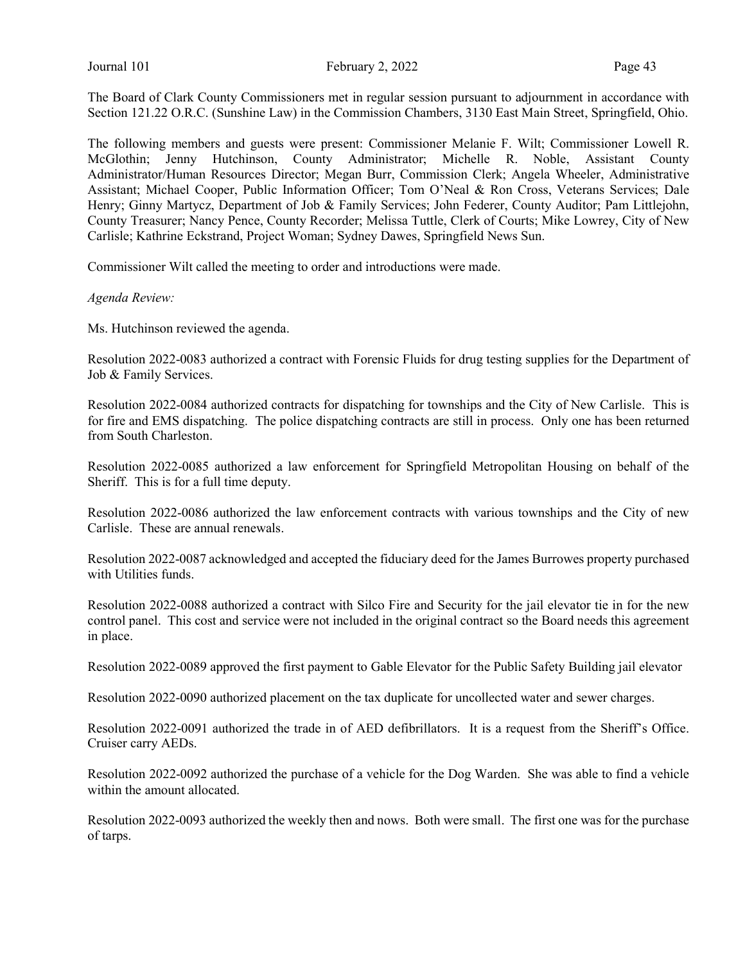The Board of Clark County Commissioners met in regular session pursuant to adjournment in accordance with Section 121.22 O.R.C. (Sunshine Law) in the Commission Chambers, 3130 East Main Street, Springfield, Ohio.

The following members and guests were present: Commissioner Melanie F. Wilt; Commissioner Lowell R. McGlothin; Jenny Hutchinson, County Administrator; Michelle R. Noble, Assistant County Administrator/Human Resources Director; Megan Burr, Commission Clerk; Angela Wheeler, Administrative Assistant; Michael Cooper, Public Information Officer; Tom O'Neal & Ron Cross, Veterans Services; Dale Henry; Ginny Martycz, Department of Job & Family Services; John Federer, County Auditor; Pam Littlejohn, County Treasurer; Nancy Pence, County Recorder; Melissa Tuttle, Clerk of Courts; Mike Lowrey, City of New Carlisle; Kathrine Eckstrand, Project Woman; Sydney Dawes, Springfield News Sun.

Commissioner Wilt called the meeting to order and introductions were made.

Agenda Review:

Ms. Hutchinson reviewed the agenda.

Resolution 2022-0083 authorized a contract with Forensic Fluids for drug testing supplies for the Department of Job & Family Services.

Resolution 2022-0084 authorized contracts for dispatching for townships and the City of New Carlisle. This is for fire and EMS dispatching. The police dispatching contracts are still in process. Only one has been returned from South Charleston.

Resolution 2022-0085 authorized a law enforcement for Springfield Metropolitan Housing on behalf of the Sheriff. This is for a full time deputy.

Resolution 2022-0086 authorized the law enforcement contracts with various townships and the City of new Carlisle. These are annual renewals.

Resolution 2022-0087 acknowledged and accepted the fiduciary deed for the James Burrowes property purchased with Utilities funds.

Resolution 2022-0088 authorized a contract with Silco Fire and Security for the jail elevator tie in for the new control panel. This cost and service were not included in the original contract so the Board needs this agreement in place.

Resolution 2022-0089 approved the first payment to Gable Elevator for the Public Safety Building jail elevator

Resolution 2022-0090 authorized placement on the tax duplicate for uncollected water and sewer charges.

Resolution 2022-0091 authorized the trade in of AED defibrillators. It is a request from the Sheriff's Office. Cruiser carry AEDs.

Resolution 2022-0092 authorized the purchase of a vehicle for the Dog Warden. She was able to find a vehicle within the amount allocated.

Resolution 2022-0093 authorized the weekly then and nows. Both were small. The first one was for the purchase of tarps.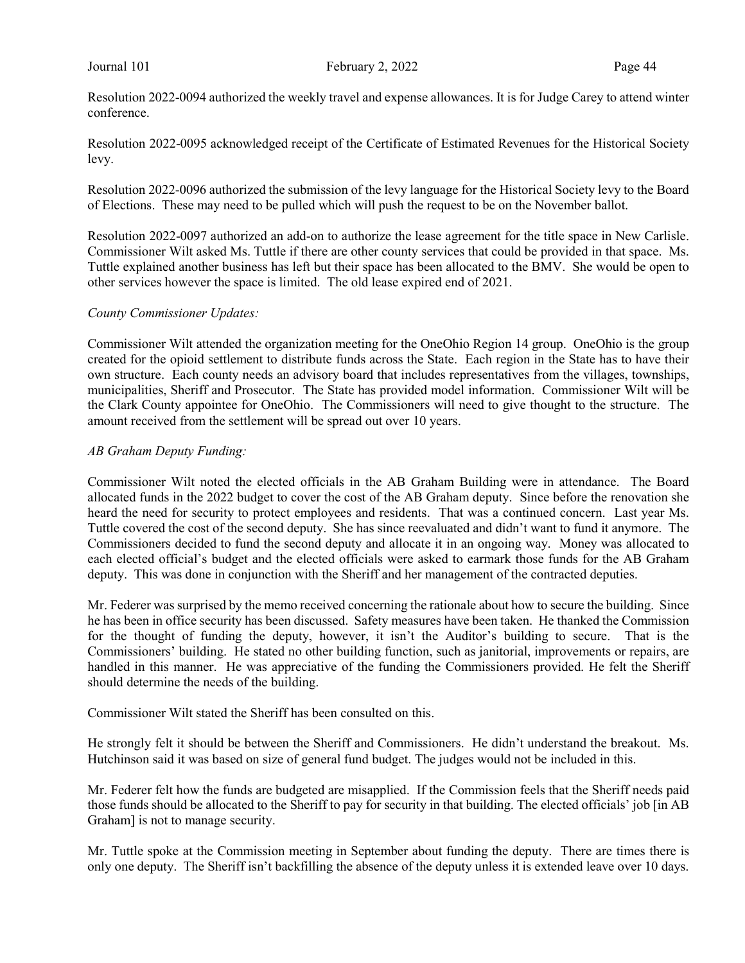Resolution 2022-0094 authorized the weekly travel and expense allowances. It is for Judge Carey to attend winter conference.

Resolution 2022-0095 acknowledged receipt of the Certificate of Estimated Revenues for the Historical Society levy.

Resolution 2022-0096 authorized the submission of the levy language for the Historical Society levy to the Board of Elections. These may need to be pulled which will push the request to be on the November ballot.

Resolution 2022-0097 authorized an add-on to authorize the lease agreement for the title space in New Carlisle. Commissioner Wilt asked Ms. Tuttle if there are other county services that could be provided in that space. Ms. Tuttle explained another business has left but their space has been allocated to the BMV. She would be open to other services however the space is limited. The old lease expired end of 2021.

#### County Commissioner Updates:

Commissioner Wilt attended the organization meeting for the OneOhio Region 14 group. OneOhio is the group created for the opioid settlement to distribute funds across the State. Each region in the State has to have their own structure. Each county needs an advisory board that includes representatives from the villages, townships, municipalities, Sheriff and Prosecutor. The State has provided model information. Commissioner Wilt will be the Clark County appointee for OneOhio. The Commissioners will need to give thought to the structure. The amount received from the settlement will be spread out over 10 years.

#### AB Graham Deputy Funding:

Commissioner Wilt noted the elected officials in the AB Graham Building were in attendance. The Board allocated funds in the 2022 budget to cover the cost of the AB Graham deputy. Since before the renovation she heard the need for security to protect employees and residents. That was a continued concern. Last year Ms. Tuttle covered the cost of the second deputy. She has since reevaluated and didn't want to fund it anymore. The Commissioners decided to fund the second deputy and allocate it in an ongoing way. Money was allocated to each elected official's budget and the elected officials were asked to earmark those funds for the AB Graham deputy. This was done in conjunction with the Sheriff and her management of the contracted deputies.

Mr. Federer was surprised by the memo received concerning the rationale about how to secure the building. Since he has been in office security has been discussed. Safety measures have been taken. He thanked the Commission for the thought of funding the deputy, however, it isn't the Auditor's building to secure. That is the Commissioners' building. He stated no other building function, such as janitorial, improvements or repairs, are handled in this manner. He was appreciative of the funding the Commissioners provided. He felt the Sheriff should determine the needs of the building.

Commissioner Wilt stated the Sheriff has been consulted on this.

He strongly felt it should be between the Sheriff and Commissioners. He didn't understand the breakout. Ms. Hutchinson said it was based on size of general fund budget. The judges would not be included in this.

Mr. Federer felt how the funds are budgeted are misapplied. If the Commission feels that the Sheriff needs paid those funds should be allocated to the Sheriff to pay for security in that building. The elected officials' job [in AB Graham] is not to manage security.

Mr. Tuttle spoke at the Commission meeting in September about funding the deputy. There are times there is only one deputy. The Sheriff isn't backfilling the absence of the deputy unless it is extended leave over 10 days.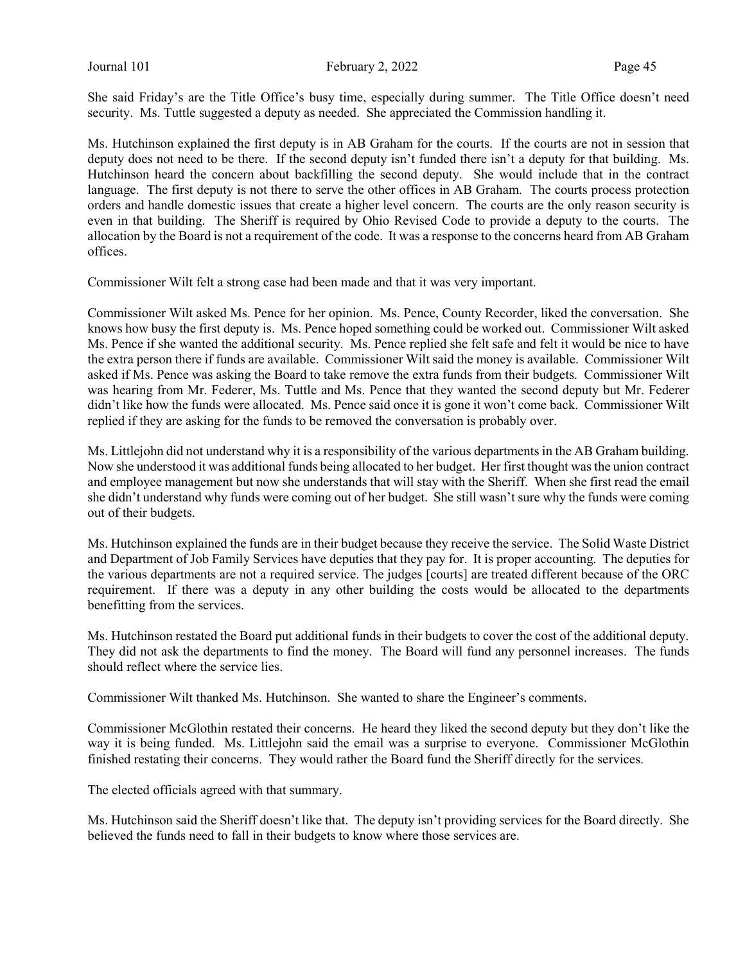She said Friday's are the Title Office's busy time, especially during summer. The Title Office doesn't need security. Ms. Tuttle suggested a deputy as needed. She appreciated the Commission handling it.

Ms. Hutchinson explained the first deputy is in AB Graham for the courts. If the courts are not in session that deputy does not need to be there. If the second deputy isn't funded there isn't a deputy for that building. Ms. Hutchinson heard the concern about backfilling the second deputy. She would include that in the contract language. The first deputy is not there to serve the other offices in AB Graham. The courts process protection orders and handle domestic issues that create a higher level concern. The courts are the only reason security is even in that building. The Sheriff is required by Ohio Revised Code to provide a deputy to the courts. The allocation by the Board is not a requirement of the code. It was a response to the concerns heard from AB Graham offices.

Commissioner Wilt felt a strong case had been made and that it was very important.

Commissioner Wilt asked Ms. Pence for her opinion. Ms. Pence, County Recorder, liked the conversation. She knows how busy the first deputy is. Ms. Pence hoped something could be worked out. Commissioner Wilt asked Ms. Pence if she wanted the additional security. Ms. Pence replied she felt safe and felt it would be nice to have the extra person there if funds are available. Commissioner Wilt said the money is available. Commissioner Wilt asked if Ms. Pence was asking the Board to take remove the extra funds from their budgets. Commissioner Wilt was hearing from Mr. Federer, Ms. Tuttle and Ms. Pence that they wanted the second deputy but Mr. Federer didn't like how the funds were allocated. Ms. Pence said once it is gone it won't come back. Commissioner Wilt replied if they are asking for the funds to be removed the conversation is probably over.

Ms. Littlejohn did not understand why it is a responsibility of the various departments in the AB Graham building. Now she understood it was additional funds being allocated to her budget. Her first thought was the union contract and employee management but now she understands that will stay with the Sheriff. When she first read the email she didn't understand why funds were coming out of her budget. She still wasn't sure why the funds were coming out of their budgets.

Ms. Hutchinson explained the funds are in their budget because they receive the service. The Solid Waste District and Department of Job Family Services have deputies that they pay for. It is proper accounting. The deputies for the various departments are not a required service. The judges [courts] are treated different because of the ORC requirement. If there was a deputy in any other building the costs would be allocated to the departments benefitting from the services.

Ms. Hutchinson restated the Board put additional funds in their budgets to cover the cost of the additional deputy. They did not ask the departments to find the money. The Board will fund any personnel increases. The funds should reflect where the service lies.

Commissioner Wilt thanked Ms. Hutchinson. She wanted to share the Engineer's comments.

Commissioner McGlothin restated their concerns. He heard they liked the second deputy but they don't like the way it is being funded. Ms. Littlejohn said the email was a surprise to everyone. Commissioner McGlothin finished restating their concerns. They would rather the Board fund the Sheriff directly for the services.

The elected officials agreed with that summary.

Ms. Hutchinson said the Sheriff doesn't like that. The deputy isn't providing services for the Board directly. She believed the funds need to fall in their budgets to know where those services are.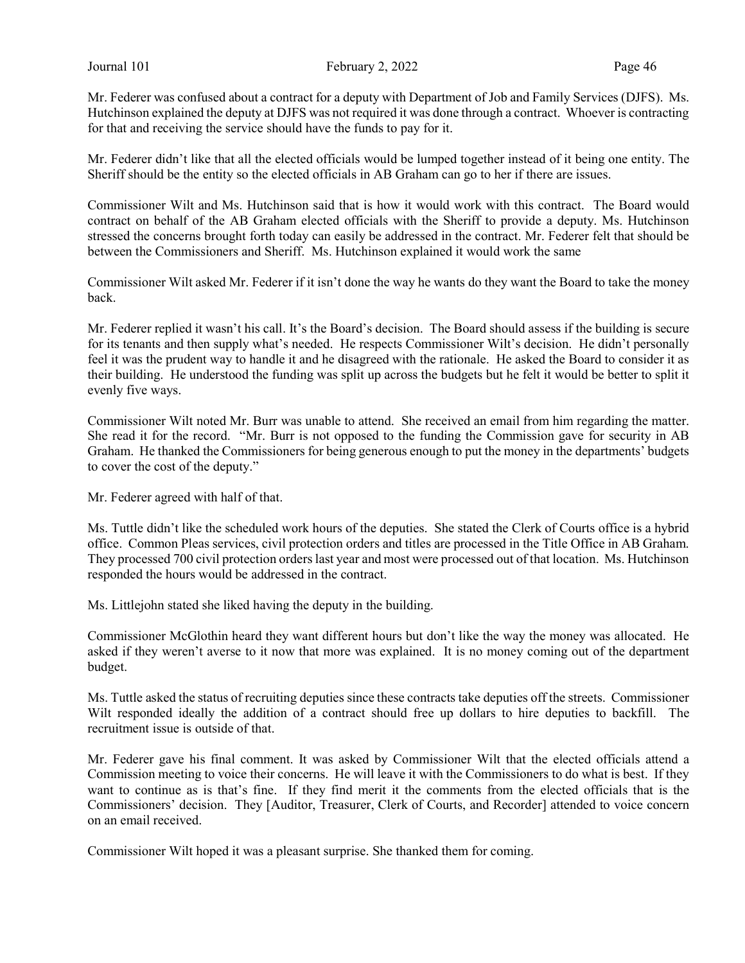Mr. Federer was confused about a contract for a deputy with Department of Job and Family Services (DJFS). Ms. Hutchinson explained the deputy at DJFS was not required it was done through a contract. Whoever is contracting for that and receiving the service should have the funds to pay for it.

Mr. Federer didn't like that all the elected officials would be lumped together instead of it being one entity. The Sheriff should be the entity so the elected officials in AB Graham can go to her if there are issues.

Commissioner Wilt and Ms. Hutchinson said that is how it would work with this contract. The Board would contract on behalf of the AB Graham elected officials with the Sheriff to provide a deputy. Ms. Hutchinson stressed the concerns brought forth today can easily be addressed in the contract. Mr. Federer felt that should be between the Commissioners and Sheriff. Ms. Hutchinson explained it would work the same

Commissioner Wilt asked Mr. Federer if it isn't done the way he wants do they want the Board to take the money back.

Mr. Federer replied it wasn't his call. It's the Board's decision. The Board should assess if the building is secure for its tenants and then supply what's needed. He respects Commissioner Wilt's decision. He didn't personally feel it was the prudent way to handle it and he disagreed with the rationale. He asked the Board to consider it as their building. He understood the funding was split up across the budgets but he felt it would be better to split it evenly five ways.

Commissioner Wilt noted Mr. Burr was unable to attend. She received an email from him regarding the matter. She read it for the record. "Mr. Burr is not opposed to the funding the Commission gave for security in AB Graham. He thanked the Commissioners for being generous enough to put the money in the departments' budgets to cover the cost of the deputy."

Mr. Federer agreed with half of that.

Ms. Tuttle didn't like the scheduled work hours of the deputies. She stated the Clerk of Courts office is a hybrid office. Common Pleas services, civil protection orders and titles are processed in the Title Office in AB Graham. They processed 700 civil protection orders last year and most were processed out of that location. Ms. Hutchinson responded the hours would be addressed in the contract.

Ms. Littlejohn stated she liked having the deputy in the building.

Commissioner McGlothin heard they want different hours but don't like the way the money was allocated. He asked if they weren't averse to it now that more was explained. It is no money coming out of the department budget.

Ms. Tuttle asked the status of recruiting deputies since these contracts take deputies off the streets. Commissioner Wilt responded ideally the addition of a contract should free up dollars to hire deputies to backfill. The recruitment issue is outside of that.

Mr. Federer gave his final comment. It was asked by Commissioner Wilt that the elected officials attend a Commission meeting to voice their concerns. He will leave it with the Commissioners to do what is best. If they want to continue as is that's fine. If they find merit it the comments from the elected officials that is the Commissioners' decision. They [Auditor, Treasurer, Clerk of Courts, and Recorder] attended to voice concern on an email received.

Commissioner Wilt hoped it was a pleasant surprise. She thanked them for coming.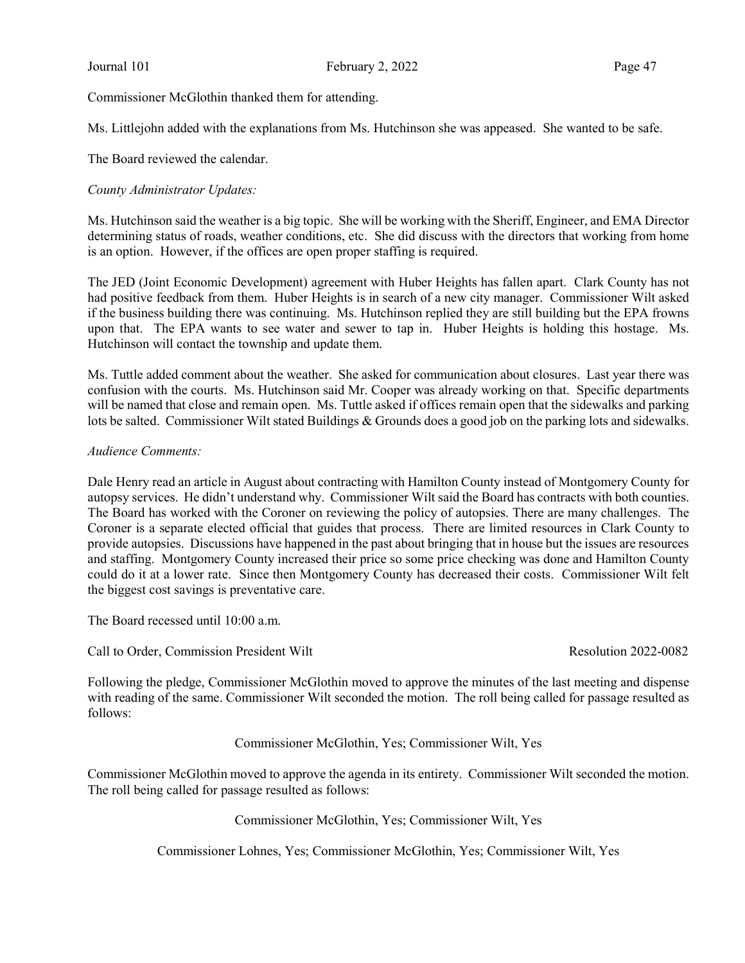Commissioner McGlothin thanked them for attending.

Ms. Littlejohn added with the explanations from Ms. Hutchinson she was appeased. She wanted to be safe.

The Board reviewed the calendar.

# County Administrator Updates:

Ms. Hutchinson said the weather is a big topic. She will be working with the Sheriff, Engineer, and EMA Director determining status of roads, weather conditions, etc. She did discuss with the directors that working from home is an option. However, if the offices are open proper staffing is required.

The JED (Joint Economic Development) agreement with Huber Heights has fallen apart. Clark County has not had positive feedback from them. Huber Heights is in search of a new city manager. Commissioner Wilt asked if the business building there was continuing. Ms. Hutchinson replied they are still building but the EPA frowns upon that. The EPA wants to see water and sewer to tap in. Huber Heights is holding this hostage. Ms. Hutchinson will contact the township and update them.

Ms. Tuttle added comment about the weather. She asked for communication about closures. Last year there was confusion with the courts. Ms. Hutchinson said Mr. Cooper was already working on that. Specific departments will be named that close and remain open. Ms. Tuttle asked if offices remain open that the sidewalks and parking lots be salted. Commissioner Wilt stated Buildings & Grounds does a good job on the parking lots and sidewalks.

#### Audience Comments:

Dale Henry read an article in August about contracting with Hamilton County instead of Montgomery County for autopsy services. He didn't understand why. Commissioner Wilt said the Board has contracts with both counties. The Board has worked with the Coroner on reviewing the policy of autopsies. There are many challenges. The Coroner is a separate elected official that guides that process. There are limited resources in Clark County to provide autopsies. Discussions have happened in the past about bringing that in house but the issues are resources and staffing. Montgomery County increased their price so some price checking was done and Hamilton County could do it at a lower rate. Since then Montgomery County has decreased their costs. Commissioner Wilt felt the biggest cost savings is preventative care.

The Board recessed until 10:00 a.m.

Call to Order, Commission President Wilt **Resolution 2022-0082** 

Following the pledge, Commissioner McGlothin moved to approve the minutes of the last meeting and dispense with reading of the same. Commissioner Wilt seconded the motion. The roll being called for passage resulted as follows:

Commissioner McGlothin, Yes; Commissioner Wilt, Yes

Commissioner McGlothin moved to approve the agenda in its entirety. Commissioner Wilt seconded the motion. The roll being called for passage resulted as follows:

Commissioner McGlothin, Yes; Commissioner Wilt, Yes

Commissioner Lohnes, Yes; Commissioner McGlothin, Yes; Commissioner Wilt, Yes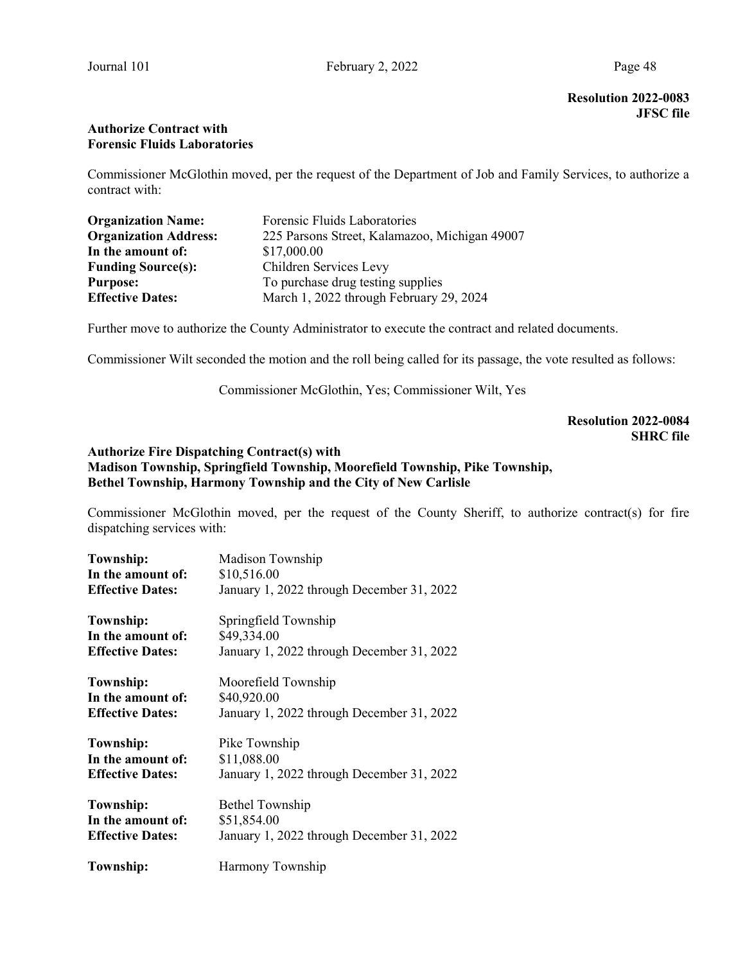Resolution 2022-0083 JFSC file

# Authorize Contract with Forensic Fluids Laboratories

Commissioner McGlothin moved, per the request of the Department of Job and Family Services, to authorize a contract with:

| <b>Organization Name:</b>    | Forensic Fluids Laboratories                  |
|------------------------------|-----------------------------------------------|
| <b>Organization Address:</b> | 225 Parsons Street, Kalamazoo, Michigan 49007 |
| In the amount of:            | \$17,000.00                                   |
| <b>Funding Source(s):</b>    | Children Services Levy                        |
| <b>Purpose:</b>              | To purchase drug testing supplies             |
| <b>Effective Dates:</b>      | March 1, 2022 through February 29, 2024       |

Further move to authorize the County Administrator to execute the contract and related documents.

Commissioner Wilt seconded the motion and the roll being called for its passage, the vote resulted as follows:

Commissioner McGlothin, Yes; Commissioner Wilt, Yes

# Resolution 2022-0084 SHRC file

# Authorize Fire Dispatching Contract(s) with Madison Township, Springfield Township, Moorefield Township, Pike Township, Bethel Township, Harmony Township and the City of New Carlisle

Commissioner McGlothin moved, per the request of the County Sheriff, to authorize contract(s) for fire dispatching services with:

| Township:               | Madison Township                          |  |  |
|-------------------------|-------------------------------------------|--|--|
| In the amount of:       | \$10,516.00                               |  |  |
| <b>Effective Dates:</b> | January 1, 2022 through December 31, 2022 |  |  |
| <b>Township:</b>        | Springfield Township                      |  |  |
| In the amount of:       | \$49,334.00                               |  |  |
| <b>Effective Dates:</b> | January 1, 2022 through December 31, 2022 |  |  |
| Township:               | Moorefield Township                       |  |  |
| In the amount of:       | \$40,920.00                               |  |  |
| <b>Effective Dates:</b> | January 1, 2022 through December 31, 2022 |  |  |
| <b>Township:</b>        | Pike Township                             |  |  |
| In the amount of:       | \$11,088.00                               |  |  |
| <b>Effective Dates:</b> | January 1, 2022 through December 31, 2022 |  |  |
| <b>Township:</b>        | <b>Bethel Township</b>                    |  |  |
| In the amount of:       | \$51,854.00                               |  |  |
| <b>Effective Dates:</b> | January 1, 2022 through December 31, 2022 |  |  |
| <b>Township:</b>        | Harmony Township                          |  |  |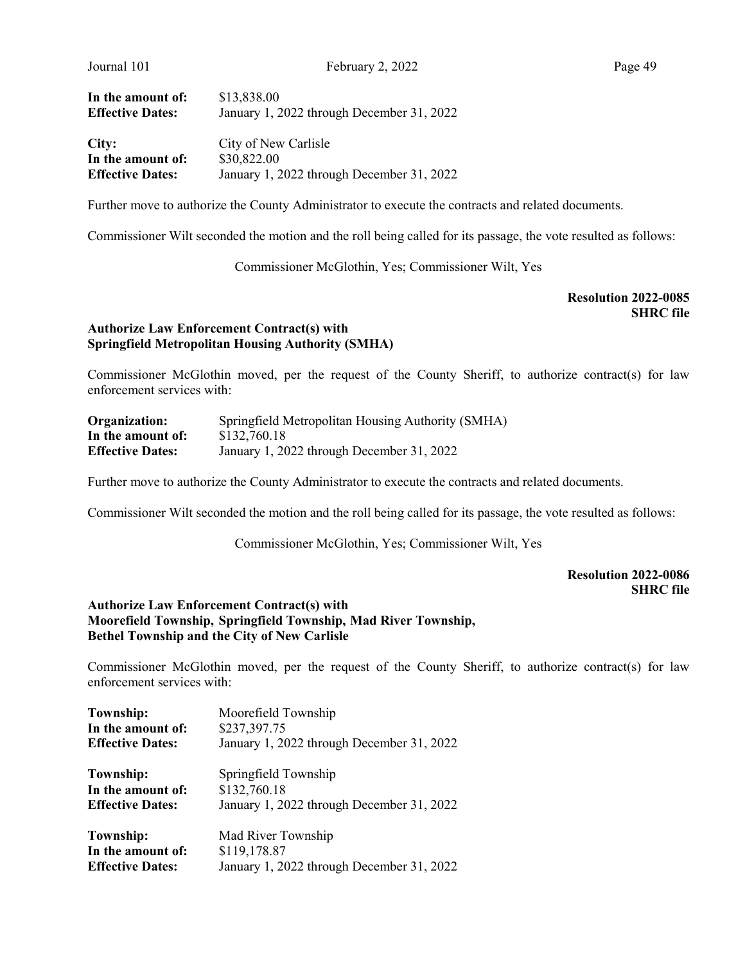| In the amount of:       | \$13,838.00                               |  |
|-------------------------|-------------------------------------------|--|
| <b>Effective Dates:</b> | January 1, 2022 through December 31, 2022 |  |
| City:                   | City of New Carlisle                      |  |
| In the amount of:       | \$30,822.00                               |  |
| <b>Effective Dates:</b> | January 1, 2022 through December 31, 2022 |  |

Further move to authorize the County Administrator to execute the contracts and related documents.

Commissioner Wilt seconded the motion and the roll being called for its passage, the vote resulted as follows:

Commissioner McGlothin, Yes; Commissioner Wilt, Yes

Resolution 2022-0085 SHRC file

# Authorize Law Enforcement Contract(s) with Springfield Metropolitan Housing Authority (SMHA)

Commissioner McGlothin moved, per the request of the County Sheriff, to authorize contract(s) for law enforcement services with:

| Organization:           | Springfield Metropolitan Housing Authority (SMHA) |
|-------------------------|---------------------------------------------------|
| In the amount of:       | \$132,760.18                                      |
| <b>Effective Dates:</b> | January 1, 2022 through December 31, 2022         |

Further move to authorize the County Administrator to execute the contracts and related documents.

Commissioner Wilt seconded the motion and the roll being called for its passage, the vote resulted as follows:

Commissioner McGlothin, Yes; Commissioner Wilt, Yes

# Resolution 2022-0086 SHRC file

#### Authorize Law Enforcement Contract(s) with Moorefield Township, Springfield Township, Mad River Township, Bethel Township and the City of New Carlisle

Commissioner McGlothin moved, per the request of the County Sheriff, to authorize contract(s) for law enforcement services with:

| Township:                         | Moorefield Township                       |  |  |
|-----------------------------------|-------------------------------------------|--|--|
| \$237,397.75<br>In the amount of: |                                           |  |  |
| <b>Effective Dates:</b>           | January 1, 2022 through December 31, 2022 |  |  |
| Township:                         | Springfield Township                      |  |  |
| In the amount of:                 | \$132,760.18                              |  |  |
| <b>Effective Dates:</b>           | January 1, 2022 through December 31, 2022 |  |  |
| Township:                         | Mad River Township                        |  |  |
| In the amount of:                 | \$119,178.87                              |  |  |
| <b>Effective Dates:</b>           | January 1, 2022 through December 31, 2022 |  |  |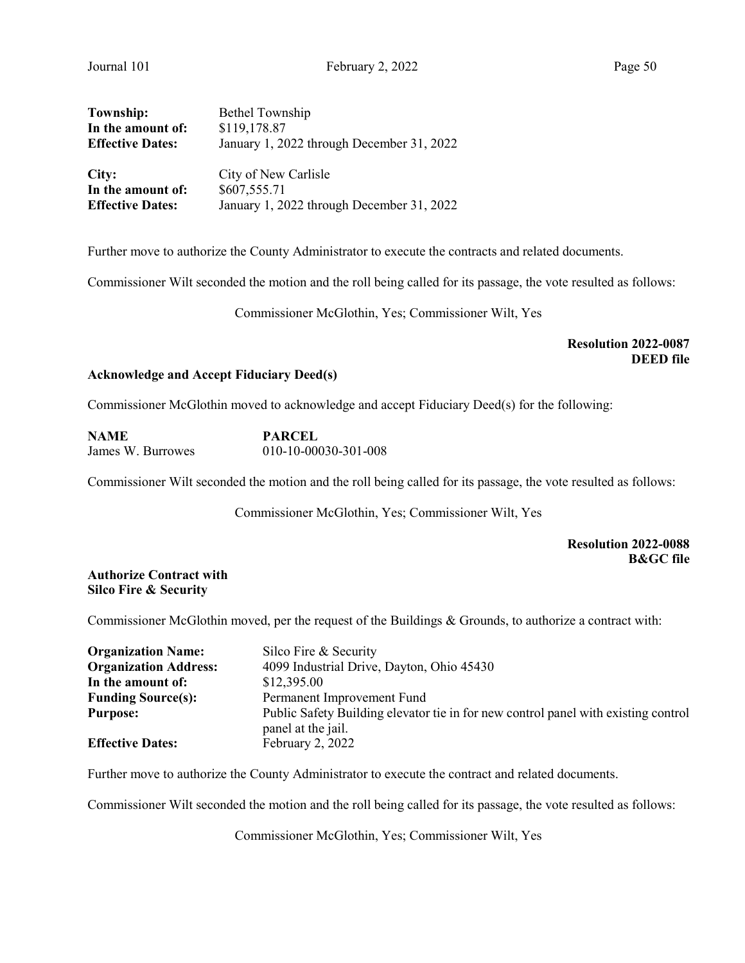| Township:               | <b>Bethel Township</b>                    |
|-------------------------|-------------------------------------------|
| In the amount of:       | \$119,178.87                              |
| <b>Effective Dates:</b> | January 1, 2022 through December 31, 2022 |
|                         |                                           |
| City:                   | City of New Carlisle                      |
| In the amount of:       | \$607,555.71                              |
| <b>Effective Dates:</b> | January 1, 2022 through December 31, 2022 |

Further move to authorize the County Administrator to execute the contracts and related documents.

Commissioner Wilt seconded the motion and the roll being called for its passage, the vote resulted as follows:

Commissioner McGlothin, Yes; Commissioner Wilt, Yes

# Resolution 2022-0087 DEED file

#### Acknowledge and Accept Fiduciary Deed(s)

Commissioner McGlothin moved to acknowledge and accept Fiduciary Deed(s) for the following:

| NAME              | <b>PARCEL</b>          |
|-------------------|------------------------|
| James W. Burrowes | $010-10-00030-301-008$ |

Commissioner Wilt seconded the motion and the roll being called for its passage, the vote resulted as follows:

Commissioner McGlothin, Yes; Commissioner Wilt, Yes

# Resolution 2022-0088 B&GC file

## Authorize Contract with Silco Fire & Security

Commissioner McGlothin moved, per the request of the Buildings & Grounds, to authorize a contract with:

| <b>Organization Name:</b>    | Silco Fire & Security                                                              |
|------------------------------|------------------------------------------------------------------------------------|
| <b>Organization Address:</b> | 4099 Industrial Drive, Dayton, Ohio 45430                                          |
| In the amount of:            | \$12,395.00                                                                        |
| <b>Funding Source(s):</b>    | Permanent Improvement Fund                                                         |
| <b>Purpose:</b>              | Public Safety Building elevator tie in for new control panel with existing control |
|                              | panel at the jail.                                                                 |
| <b>Effective Dates:</b>      | February 2, 2022                                                                   |

Further move to authorize the County Administrator to execute the contract and related documents.

Commissioner Wilt seconded the motion and the roll being called for its passage, the vote resulted as follows:

Commissioner McGlothin, Yes; Commissioner Wilt, Yes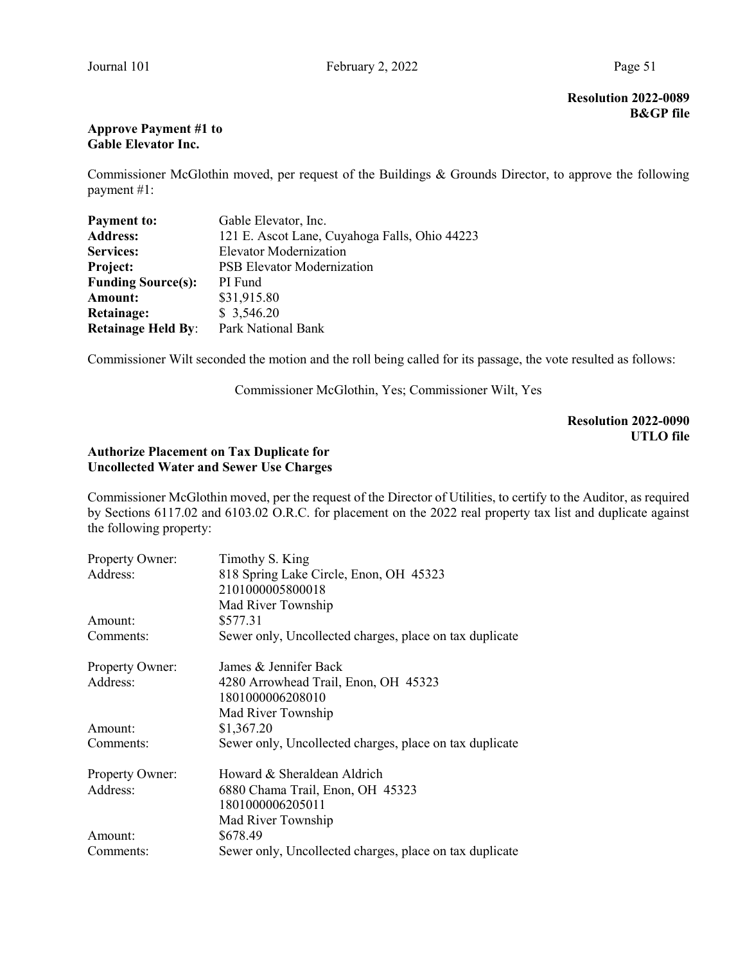# Approve Payment #1 to Gable Elevator Inc.

Commissioner McGlothin moved, per request of the Buildings & Grounds Director, to approve the following payment #1:

| <b>Payment to:</b>        | Gable Elevator, Inc.                          |
|---------------------------|-----------------------------------------------|
| <b>Address:</b>           | 121 E. Ascot Lane, Cuyahoga Falls, Ohio 44223 |
| <b>Services:</b>          | <b>Elevator Modernization</b>                 |
| Project:                  | <b>PSB</b> Elevator Modernization             |
| <b>Funding Source(s):</b> | PI Fund                                       |
| <b>Amount:</b>            | \$31,915.80                                   |
| Retainage:                | \$3,546.20                                    |
| <b>Retainage Held By:</b> | Park National Bank                            |

Commissioner Wilt seconded the motion and the roll being called for its passage, the vote resulted as follows:

Commissioner McGlothin, Yes; Commissioner Wilt, Yes

Resolution 2022-0090 UTLO file

# Authorize Placement on Tax Duplicate for Uncollected Water and Sewer Use Charges

Commissioner McGlothin moved, per the request of the Director of Utilities, to certify to the Auditor, as required by Sections 6117.02 and 6103.02 O.R.C. for placement on the 2022 real property tax list and duplicate against the following property:

| Property Owner: | Timothy S. King                                         |  |  |
|-----------------|---------------------------------------------------------|--|--|
| Address:        | 818 Spring Lake Circle, Enon, OH 45323                  |  |  |
|                 | 2101000005800018                                        |  |  |
|                 | Mad River Township                                      |  |  |
| Amount:         | \$577.31                                                |  |  |
| Comments:       | Sewer only, Uncollected charges, place on tax duplicate |  |  |
| Property Owner: | James & Jennifer Back                                   |  |  |
| Address:        | 4280 Arrowhead Trail, Enon, OH 45323                    |  |  |
|                 | 1801000006208010                                        |  |  |
|                 | Mad River Township                                      |  |  |
| Amount:         | \$1,367.20                                              |  |  |
| Comments:       | Sewer only, Uncollected charges, place on tax duplicate |  |  |
| Property Owner: | Howard & Sheraldean Aldrich                             |  |  |
| Address:        | 6880 Chama Trail, Enon, OH 45323                        |  |  |
|                 | 1801000006205011                                        |  |  |
|                 | Mad River Township                                      |  |  |
| Amount:         | \$678.49                                                |  |  |
| Comments:       | Sewer only, Uncollected charges, place on tax duplicate |  |  |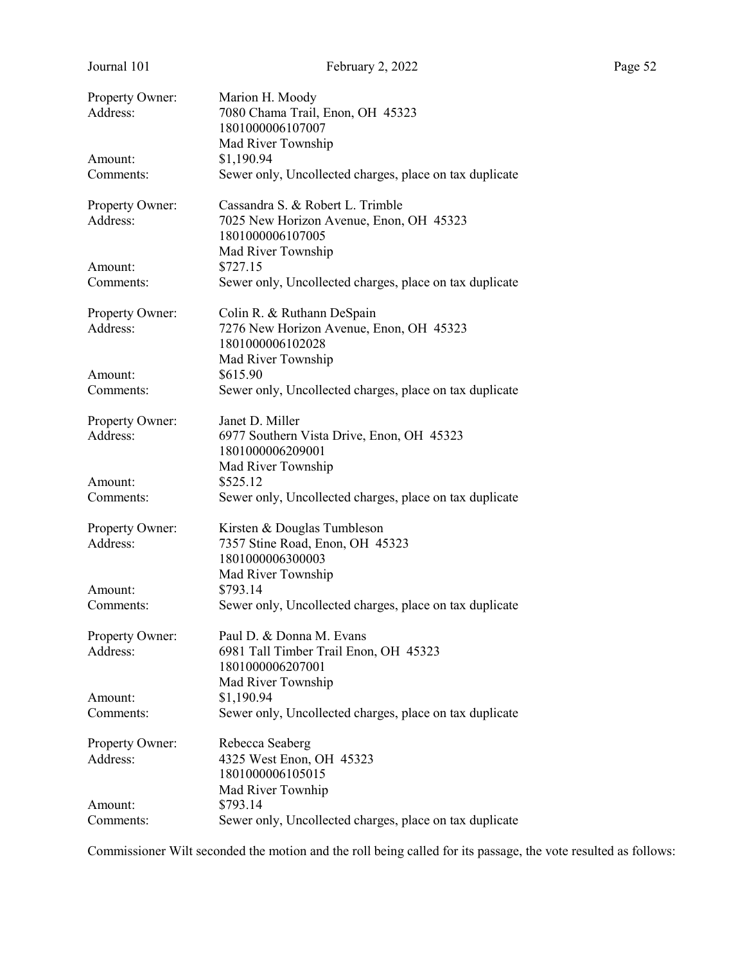| Property Owner:<br>Address: | Marion H. Moody<br>7080 Chama Trail, Enon, OH 45323                   |
|-----------------------------|-----------------------------------------------------------------------|
|                             | 1801000006107007                                                      |
|                             | Mad River Township                                                    |
| Amount:<br>Comments:        | \$1,190.94<br>Sewer only, Uncollected charges, place on tax duplicate |
|                             |                                                                       |
| Property Owner:             | Cassandra S. & Robert L. Trimble                                      |
| Address:                    | 7025 New Horizon Avenue, Enon, OH 45323                               |
|                             | 1801000006107005                                                      |
|                             | Mad River Township                                                    |
| Amount:                     | \$727.15                                                              |
| Comments:                   | Sewer only, Uncollected charges, place on tax duplicate               |
| Property Owner:             | Colin R. & Ruthann DeSpain                                            |
| Address:                    | 7276 New Horizon Avenue, Enon, OH 45323                               |
|                             | 1801000006102028                                                      |
|                             | Mad River Township                                                    |
| Amount:                     | \$615.90                                                              |
| Comments:                   | Sewer only, Uncollected charges, place on tax duplicate               |
| Property Owner:             | Janet D. Miller                                                       |
| Address:                    | 6977 Southern Vista Drive, Enon, OH 45323                             |
|                             | 1801000006209001                                                      |
|                             | Mad River Township                                                    |
| Amount:                     | \$525.12                                                              |
| Comments:                   | Sewer only, Uncollected charges, place on tax duplicate               |
| Property Owner:             | Kirsten & Douglas Tumbleson                                           |
| Address:                    | 7357 Stine Road, Enon, OH 45323                                       |
|                             | 1801000006300003                                                      |
|                             | Mad River Township                                                    |
| Amount:                     | \$793.14                                                              |
| Comments:                   | Sewer only, Uncollected charges, place on tax duplicate               |
| Property Owner:             | Paul D. & Donna M. Evans                                              |
| Address:                    | 6981 Tall Timber Trail Enon, OH 45323                                 |
|                             | 1801000006207001                                                      |
|                             | Mad River Township                                                    |
| Amount:                     | \$1,190.94                                                            |
| Comments:                   | Sewer only, Uncollected charges, place on tax duplicate               |
|                             |                                                                       |
| Property Owner:<br>Address: | Rebecca Seaberg<br>4325 West Enon, OH 45323                           |
|                             | 1801000006105015                                                      |
|                             |                                                                       |
|                             | Mad River Townhip                                                     |
| Amount:                     | \$793.14                                                              |
| Comments:                   | Sewer only, Uncollected charges, place on tax duplicate               |

Commissioner Wilt seconded the motion and the roll being called for its passage, the vote resulted as follows: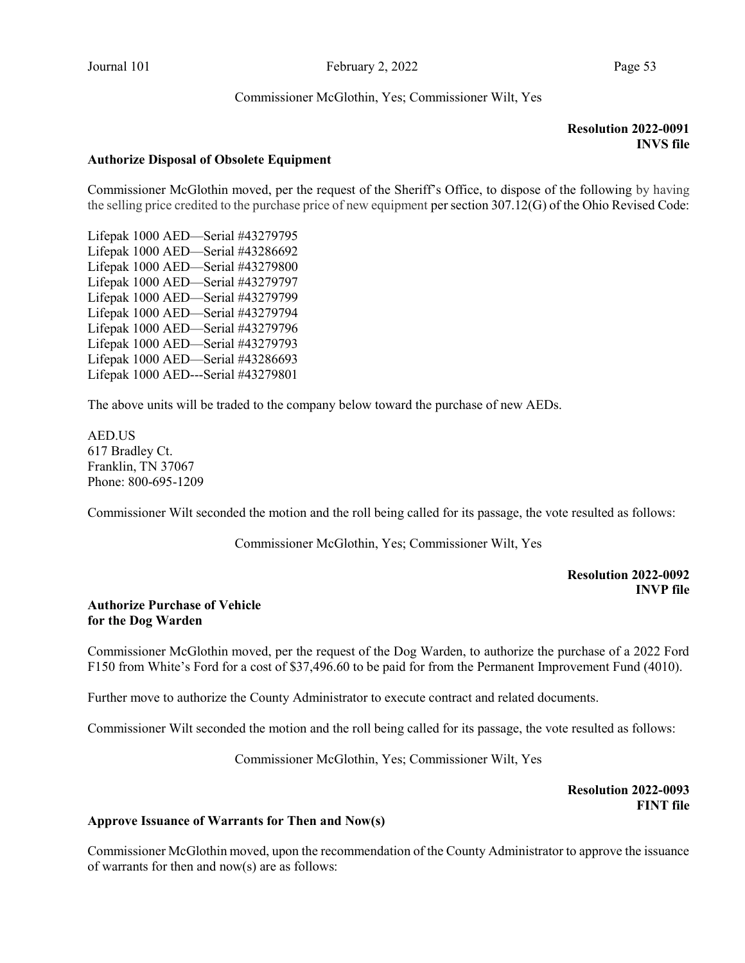Commissioner McGlothin, Yes; Commissioner Wilt, Yes

# Resolution 2022-0091 INVS file

#### Authorize Disposal of Obsolete Equipment

Commissioner McGlothin moved, per the request of the Sheriff's Office, to dispose of the following by having the selling price credited to the purchase price of new equipment per section 307.12(G) of the Ohio Revised Code:

Lifepak 1000 AED—Serial #43279795 Lifepak 1000 AED—Serial #43286692 Lifepak 1000 AED—Serial #43279800 Lifepak 1000 AED—Serial #43279797 Lifepak 1000 AED—Serial #43279799 Lifepak 1000 AED—Serial #43279794 Lifepak 1000 AED—Serial #43279796 Lifepak 1000 AED—Serial #43279793 Lifepak 1000 AED—Serial #43286693 Lifepak 1000 AED---Serial #43279801

The above units will be traded to the company below toward the purchase of new AEDs.

AED.US 617 Bradley Ct. Franklin, TN 37067 Phone: 800-695-1209

Commissioner Wilt seconded the motion and the roll being called for its passage, the vote resulted as follows:

Commissioner McGlothin, Yes; Commissioner Wilt, Yes

## Resolution 2022-0092 INVP file

#### Authorize Purchase of Vehicle for the Dog Warden

Commissioner McGlothin moved, per the request of the Dog Warden, to authorize the purchase of a 2022 Ford F150 from White's Ford for a cost of \$37,496.60 to be paid for from the Permanent Improvement Fund (4010).

Further move to authorize the County Administrator to execute contract and related documents.

Commissioner Wilt seconded the motion and the roll being called for its passage, the vote resulted as follows:

Commissioner McGlothin, Yes; Commissioner Wilt, Yes

 Resolution 2022-0093 FINT file

#### Approve Issuance of Warrants for Then and Now(s)

Commissioner McGlothin moved, upon the recommendation of the County Administrator to approve the issuance of warrants for then and now(s) are as follows: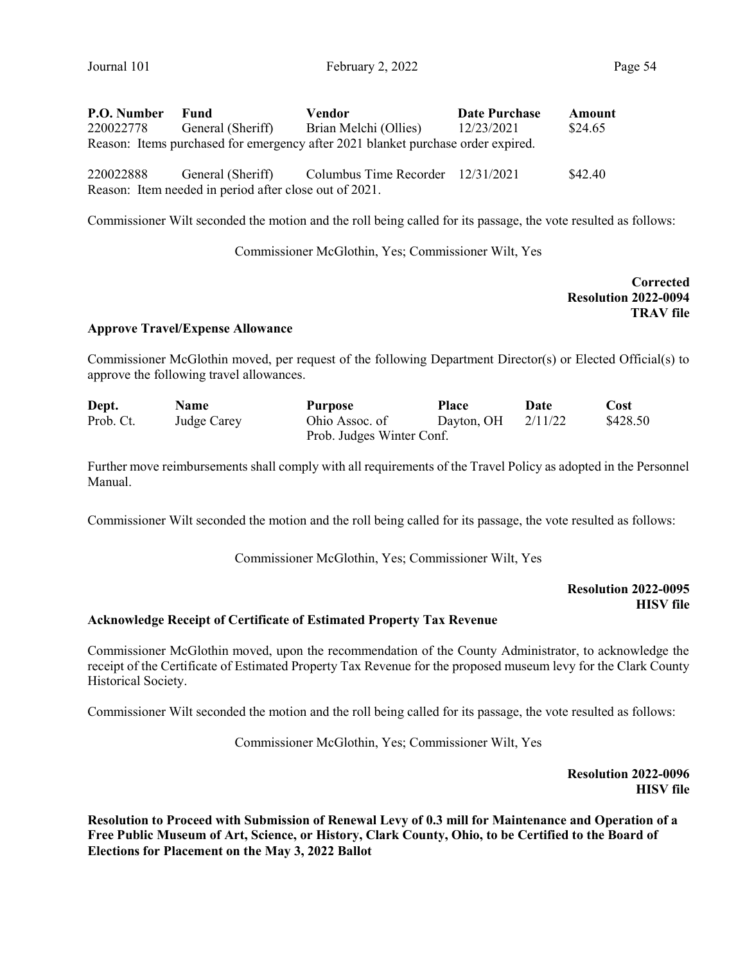| P.O. Number | Fund                                                   | Vendor                                                                           | <b>Date Purchase</b> | Amount  |
|-------------|--------------------------------------------------------|----------------------------------------------------------------------------------|----------------------|---------|
| 220022778   | General (Sheriff)                                      | Brian Melchi (Ollies)                                                            | 12/23/2021           | \$24.65 |
|             |                                                        | Reason: Items purchased for emergency after 2021 blanket purchase order expired. |                      |         |
| 220022888   | General (Sheriff)                                      | Columbus Time Recorder 12/31/2021                                                |                      | \$42.40 |
|             | Reason: Item needed in period after close out of 2021. |                                                                                  |                      |         |

Commissioner Wilt seconded the motion and the roll being called for its passage, the vote resulted as follows:

Commissioner McGlothin, Yes; Commissioner Wilt, Yes

**Corrected**  Resolution 2022-0094 TRAV file

#### Approve Travel/Expense Allowance

Commissioner McGlothin moved, per request of the following Department Director(s) or Elected Official(s) to approve the following travel allowances.

| Dept.     | <b>Name</b> | <b>Purpose</b>            | <b>Place</b> | Date    | Cost     |
|-----------|-------------|---------------------------|--------------|---------|----------|
| Prob. Ct. | Judge Carey | Ohio Assoc. of            | Dayton, OH   | 2/11/22 | \$428.50 |
|           |             | Prob. Judges Winter Conf. |              |         |          |

Further move reimbursements shall comply with all requirements of the Travel Policy as adopted in the Personnel Manual.

Commissioner Wilt seconded the motion and the roll being called for its passage, the vote resulted as follows:

Commissioner McGlothin, Yes; Commissioner Wilt, Yes

# Resolution 2022-0095 HISV file

#### Acknowledge Receipt of Certificate of Estimated Property Tax Revenue

Commissioner McGlothin moved, upon the recommendation of the County Administrator, to acknowledge the receipt of the Certificate of Estimated Property Tax Revenue for the proposed museum levy for the Clark County Historical Society.

Commissioner Wilt seconded the motion and the roll being called for its passage, the vote resulted as follows:

Commissioner McGlothin, Yes; Commissioner Wilt, Yes

Resolution 2022-0096 HISV file

Resolution to Proceed with Submission of Renewal Levy of 0.3 mill for Maintenance and Operation of a Free Public Museum of Art, Science, or History, Clark County, Ohio, to be Certified to the Board of Elections for Placement on the May 3, 2022 Ballot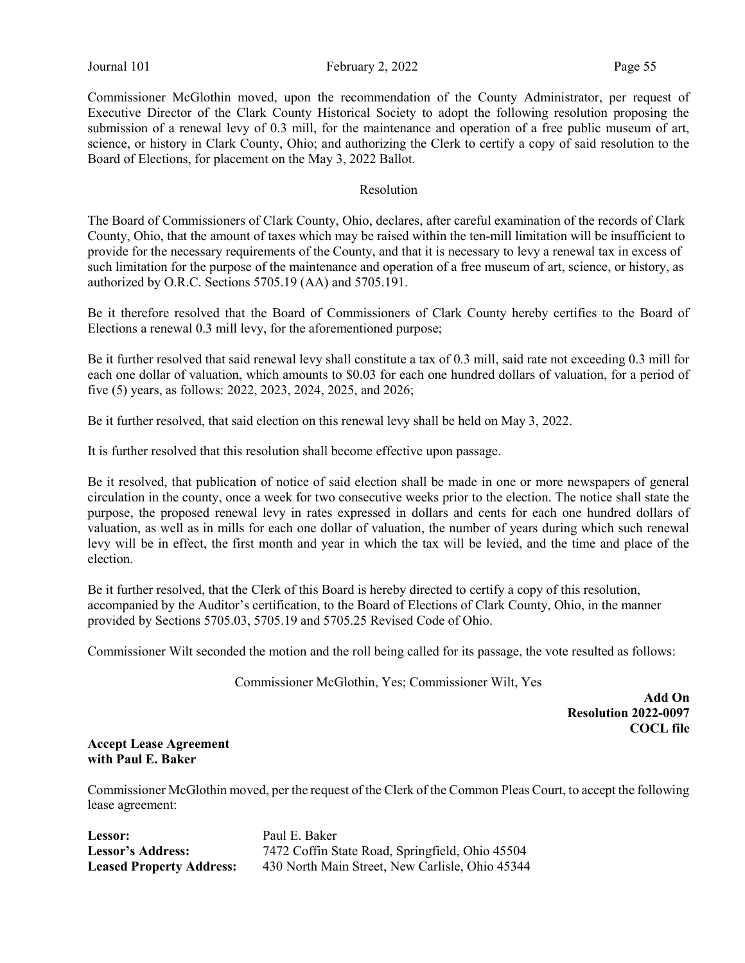Commissioner McGlothin moved, upon the recommendation of the County Administrator, per request of Executive Director of the Clark County Historical Society to adopt the following resolution proposing the submission of a renewal levy of 0.3 mill, for the maintenance and operation of a free public museum of art, science, or history in Clark County, Ohio; and authorizing the Clerk to certify a copy of said resolution to the Board of Elections, for placement on the May 3, 2022 Ballot.

#### Resolution

The Board of Commissioners of Clark County, Ohio, declares, after careful examination of the records of Clark County, Ohio, that the amount of taxes which may be raised within the ten-mill limitation will be insufficient to provide for the necessary requirements of the County, and that it is necessary to levy a renewal tax in excess of such limitation for the purpose of the maintenance and operation of a free museum of art, science, or history, as authorized by O.R.C. Sections 5705.19 (AA) and 5705.191.

Be it therefore resolved that the Board of Commissioners of Clark County hereby certifies to the Board of Elections a renewal 0.3 mill levy, for the aforementioned purpose;

Be it further resolved that said renewal levy shall constitute a tax of 0.3 mill, said rate not exceeding 0.3 mill for each one dollar of valuation, which amounts to \$0.03 for each one hundred dollars of valuation, for a period of five (5) years, as follows: 2022, 2023, 2024, 2025, and 2026;

Be it further resolved, that said election on this renewal levy shall be held on May 3, 2022.

It is further resolved that this resolution shall become effective upon passage.

Be it resolved, that publication of notice of said election shall be made in one or more newspapers of general circulation in the county, once a week for two consecutive weeks prior to the election. The notice shall state the purpose, the proposed renewal levy in rates expressed in dollars and cents for each one hundred dollars of valuation, as well as in mills for each one dollar of valuation, the number of years during which such renewal levy will be in effect, the first month and year in which the tax will be levied, and the time and place of the election.

Be it further resolved, that the Clerk of this Board is hereby directed to certify a copy of this resolution, accompanied by the Auditor's certification, to the Board of Elections of Clark County, Ohio, in the manner provided by Sections 5705.03, 5705.19 and 5705.25 Revised Code of Ohio.

Commissioner Wilt seconded the motion and the roll being called for its passage, the vote resulted as follows:

Commissioner McGlothin, Yes; Commissioner Wilt, Yes

Add On Resolution 2022-0097 COCL file

#### Accept Lease Agreement with Paul E. Baker

Commissioner McGlothin moved, per the request of the Clerk of the Common Pleas Court, to accept the following lease agreement:

Lessor: Paul E. Baker

Lessor's Address: 7472 Coffin State Road, Springfield, Ohio 45504 Leased Property Address: 430 North Main Street, New Carlisle, Ohio 45344